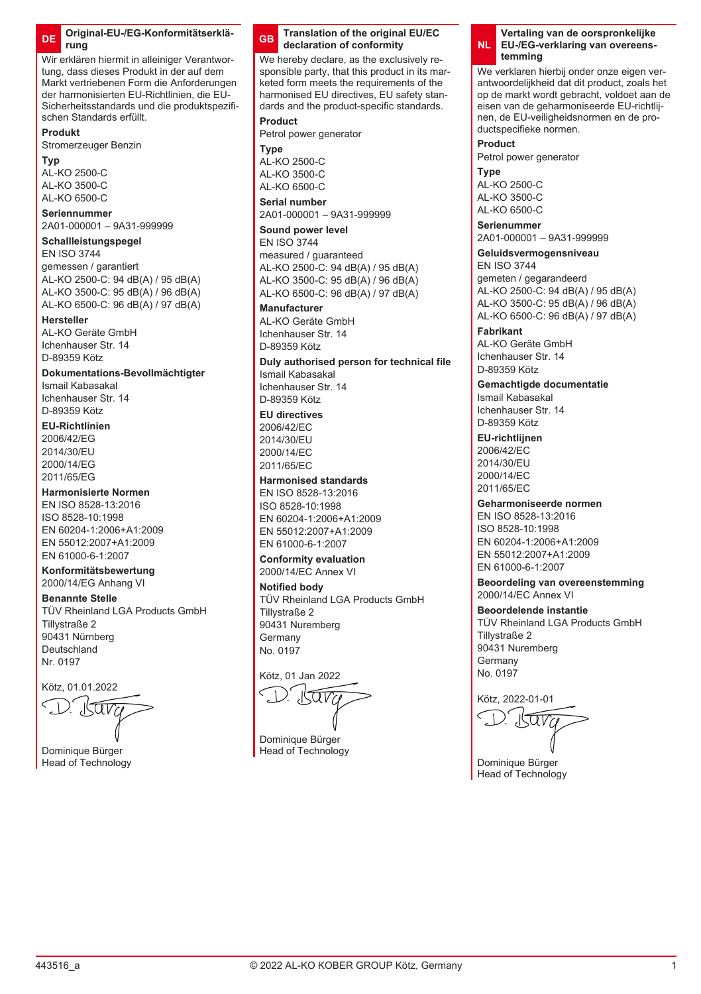### **DE Original-EU-/EG-Konformitätserklärung**

Wir erklären hiermit in alleiniger Verantwortung, dass dieses Produkt in der auf dem Markt vertriebenen Form die Anforderungen der harmonisierten EU-Richtlinien, die EU-Sicherheitsstandards und die produktspezifischen Standards erfüllt.

#### **Produkt**

Stromerzeuger Benzin

#### **Typ**

AL-KO 2500-C AL-KO 3500-C  $AD-KO$  6500-C

### **Seriennummer**

2A01-000001 – 9A31-999999

## **Schallleistungspegel**

EN ISO 3744 gemessen / garantiert AL-KO 2500-C: 94 dB(A) / 95 dB(A) AL-KO 3500-C: 95 dB(A) / 96 dB(A) AL-KO 6500-C: 96 dB(A) / 97 dB(A)

#### **Hersteller**

AL-KO Geräte GmbH Ichenhauser Str. 14 D-89359 Kötz

## **Dokumentations-Bevollmächtigter**

Ismail Kabasakal Ichenhauser Str. 14 D-89359 Kötz

## **EU-Richtlinien**

2006/42/EG 2014/30/EU 2000/14/EG 2011/65/EG

## **Harmonisierte Normen**

EN ISO 8528-13:2016 ISO 8528-10:1998 EN 60204-1:2006+A1:2009 EN 55012:2007+A1:2009 EN 61000-6-1:2007

## **Konformitätsbewertung**

2000/14/EG Anhang VI

## **Benannte Stelle**

TÜV Rheinland LGA Products GmbH Tillystraße 2 90431 Nürnberg Deutschland Nr. 0197

Kötz, 01.01.2022

Dominique Bürger Head of Technology

### **GB Translation of the original EU/EC declaration of conformity**

We hereby declare, as the exclusively responsible party, that this product in its marketed form meets the requirements of the harmonised EU directives, EU safety standards and the product-specific standards.

### **Product**

Petrol power generator

**Type** AL-KO 2500-C AL-KO 3500-C AL-KO 6500-C

**Serial number**

2A01-000001 – 9A31-999999 **Sound power level**

#### EN ISO 3744

measured / guaranteed AL-KO 2500-C: 94 dB(A) / 95 dB(A) AL-KO 3500-C: 95 dB(A) / 96 dB(A) AL-KO 6500-C: 96 dB(A) / 97 dB(A)

### **Manufacturer**

AL-KO Geräte GmbH Ichenhauser Str. 14 D-89359 Kötz

**Duly authorised person for technical file** Ismail Kabasakal

Ichenhauser Str. 14 D-89359 Kötz

## **EU directives**

2006/42/EC 2014/30/EU 2000/14/EC 2011/65/EC

## **Harmonised standards**

EN ISO 8528-13:2016 ISO 8528-10:1998 EN 60204-1:2006+A1:2009 EN 55012:2007+A1:2009 EN 61000-6-1:2007

#### **Conformity evaluation** 2000/14/EC Annex VI

**Notified body** TÜV Rheinland LGA Products GmbH Tillystraße 2 90431 Nuremberg Germany No. 0197

Kötz, 01 Jan 2022

ω

Dominique Bürger **Head of Technology** 

#### **NL Vertaling van de oorspronkelijke EU-/EG-verklaring van overeenstemming**

We verklaren hierbij onder onze eigen verantwoordelijkheid dat dit product, zoals het op de markt wordt gebracht, voldoet aan de eisen van de geharmoniseerde EU-richtlijnen, de EU-veiligheidsnormen en de productspecifieke normen.

**Product**

Petrol power generator

**Type** AL-KO 2500-C AL-KO 3500-C AL-KO 6500-C

**Serienummer** 2A01-000001 – 9A31-999999

#### **Geluidsvermogensniveau** EN ISO 3744

gemeten / gegarandeerd AL-KO 2500-C: 94 dB(A) / 95 dB(A) AL-KO 3500-C: 95 dB(A) / 96 dB(A) AL-KO 6500-C: 96 dB(A) / 97 dB(A)

**Fabrikant** AL-KO Geräte GmbH Ichenhauser Str. 14 D-89359 Kötz

**Gemachtigde documentatie**

Ismail Kabasakal Ichenhauser Str. 14 D-89359 Kötz

**EU-richtlijnen** 2006/42/EC

2014/30/EU 2000/14/EC 2011/65/EC

## **Geharmoniseerde normen**

EN ISO 8528-13:2016 ISO 8528-10:1998 EN 60204-1:2006+A1:2009 EN 55012:2007+A1:2009 EN 61000-6-1:2007

**Beoordeling van overeenstemming** 2000/14/EC Annex VI

### **Beoordelende instantie**

TÜV Rheinland LGA Products GmbH Tillystraße 2 90431 Nuremberg Germany No. 0197

ara

Dominique Bürger Head of Technology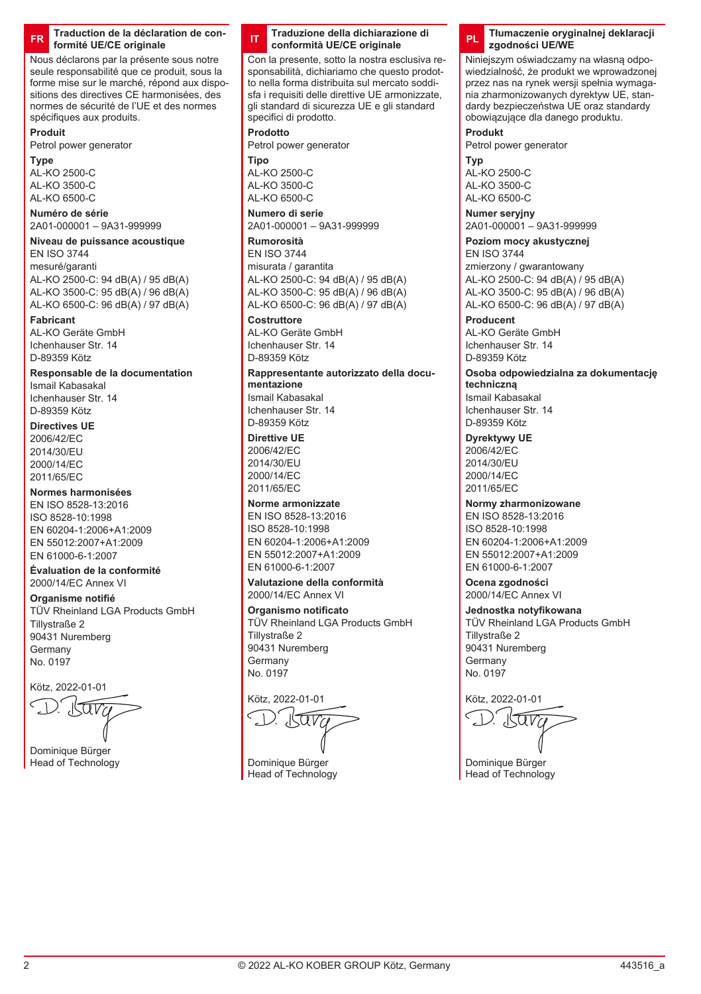#### **FR Traduction de la déclaration de conformité UE/CE originale**

Nous déclarons par la présente sous notre seule responsabilité que ce produit, sous la forme mise sur le marché, répond aux dispositions des directives CE harmonisées, des normes de sécurité de l'UE et des normes spécifiques aux produits.

## **Produit**

Petrol power generator

### **Type**

AL-KO 2500-C AL-KO 3500-C AL-KO 6500-C

## **Numéro de série**

2A01-000001 – 9A31-999999

#### **Niveau de puissance acoustique** EN ISO 3744

mesuré/garanti AL-KO 2500-C: 94 dB(A) / 95 dB(A) AL-KO 3500-C: 95 dB(A) / 96 dB(A) AL-KO 6500-C: 96 dB(A) / 97 dB(A)

## **Fabricant**

AL-KO Geräte GmbH Ichenhauser Str. 14 D-89359 Kötz

## **Responsable de la documentation**

Ismail Kabasakal Ichenhauser Str. 14 D-89359 Kötz

## **Directives UE**

2006/42/EC 2014/30/EU 2000/14/EC 2011/65/EC

## **Normes harmonisées**

EN ISO 8528-13:2016 ISO 8528-10:1998 EN 60204-1:2006+A1:2009 EN 55012:2007+A1:2009 EN 61000-6-1:2007

#### **Évaluation de la conformité** 2000/14/EC Annex VI

**Organisme notifié** TÜV Rheinland LGA Products GmbH

Tillystraße 2 90431 Nuremberg Germany No. 0197

Kötz, 2022-01-01

Dominique Bürger Head of Technology

### **IT Traduzione della dichiarazione di conformità UE/CE originale**

Con la presente, sotto la nostra esclusiva responsabilità, dichiariamo che questo prodotto nella forma distribuita sul mercato soddisfa i requisiti delle direttive UE armonizzate, gli standard di sicurezza UE e gli standard specifici di prodotto.

## **Prodotto**

Petrol power generator **Tipo**

AL-KO 2500-C AL-KO 3500-C  $AD-KO$  6500-C

## **Numero di serie**

2A01-000001 – 9A31-999999

## **Rumorosità**

EN ISO 3744 misurata / garantita AL-KO 2500-C: 94 dB(A) / 95 dB(A) AL-KO 3500-C: 95 dB(A) / 96 dB(A) AL-KO 6500-C: 96 dB(A) / 97 dB(A)

### **Costruttore**

AL-KO Geräte GmbH Ichenhauser Str. 14 D-89359 Kötz

**Rappresentante autorizzato della documentazione** Ismail Kabasakal Ichenhauser Str. 14 D-89359 Kötz

## **Direttive UE**

2006/42/EC 2014/30/EU 2000/14/EC 2011/65/EC

### **Norme armonizzate**

EN ISO 8528-13:2016 ISO 8528-10:1998 EN 60204-1:2006+A1:2009 EN 55012:2007+A1:2009 EN 61000-6-1:2007

#### **Valutazione della conformità** 2000/14/EC Annex VI

**Organismo notificato**

TÜV Rheinland LGA Products GmbH Tillystraße 2 90431 Nuremberg Germany No. 0197

Kötz, 2022-01-01 am

Dominique Bürger Head of Technology

### **PL Tłumaczenie oryginalnej deklaracji zgodności UE/WE**

Niniejszym oświadczamy na własną odpowiedzialność, że produkt we wprowadzonej przez nas na rynek wersji spełnia wymagania zharmonizowanych dyrektyw UE, standardy bezpieczeństwa UE oraz standardy obowiązujące dla danego produktu.

## **Produkt**

Petrol power generator

**Typ** AL-KO 2500-C AL-KO 3500-C  $AD-KO$  6500-C

## **Numer seryjny**

2A01-000001 – 9A31-999999

## **Poziom mocy akustycznej**

EN ISO 3744 zmierzony / gwarantowany AL-KO 2500-C: 94 dB(A) / 95 dB(A) AL-KO 3500-C: 95 dB(A) / 96 dB(A) AL-KO 6500-C: 96 dB(A) / 97 dB(A)

## **Producent**

AL-KO Geräte GmbH Ichenhauser Str. 14 D-80350 Kötz

**Osoba odpowiedzialna za dokumentację techniczną** Ismail Kabasakal Ichenhauser Str. 14

D-89359 Kötz **Dyrektywy UE**

2006/42/EC 2014/30/EU 2000/14/EC 2011/65/EC

### **Normy zharmonizowane**

EN ISO 8528-13:2016 ISO 8528-10:1998 EN 60204-1:2006+A1:2009 EN 55012:2007+A1:2009 EN 61000-6-1:2007

**Ocena zgodności** 2000/14/EC Annex VI

## **Jednostka notyfikowana**

TÜV Rheinland LGA Products GmbH Tillystraße 2 90431 Nuremberg Germany No. 0197

Kötz, 2022-01-01

 $\overline{W}$ 

Dominique Bürger Head of Technology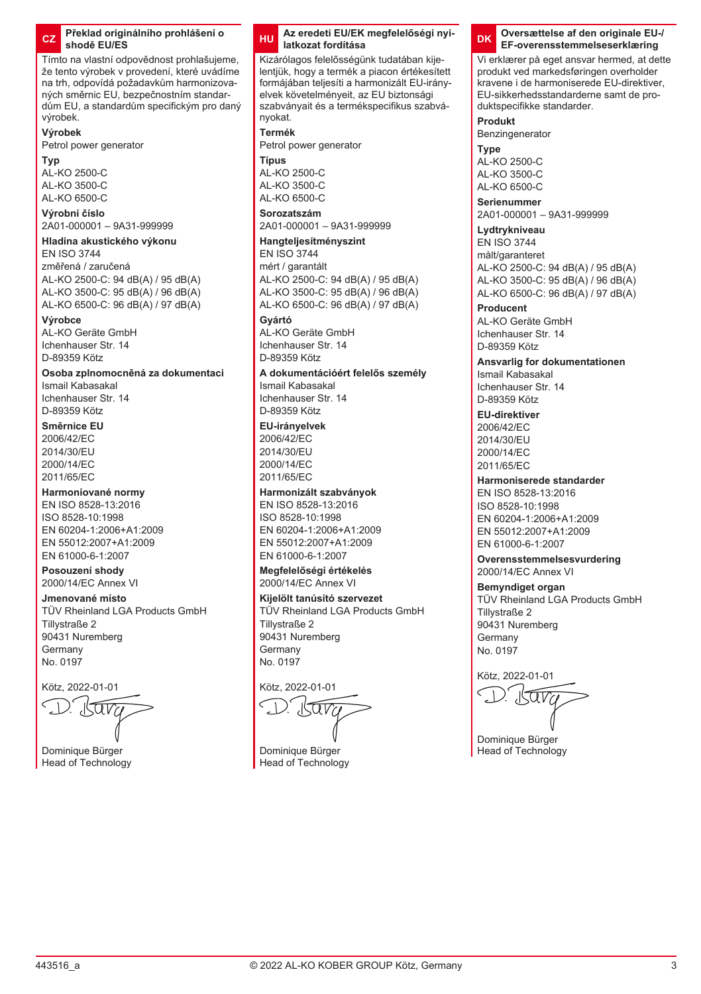### **CZ Překlad originálního prohlášení o shodě EU/ES**

Tímto na vlastní odpovědnost prohlašujeme, že tento výrobek v provedení, které uvádíme na trh, odpovídá požadavkům harmonizovaných směrnic EU, bezpečnostním standardům EU, a standardům specifickým pro daný výrobek.

## **Výrobek**

Petrol power generator

#### **Typ**

AL-KO 2500-C AL-KO 3500-C AL-KO 6500-C

## **Výrobní číslo**

2A01-000001 – 9A31-999999

## **Hladina akustického výkonu**

EN ISO 3744 změřená / zaručená AL-KO 2500-C: 94 dB(A) / 95 dB(A) AL-KO 3500-C: 95 dB(A) / 96 dB(A) AL-KO 6500-C: 96 dB(A) / 97 dB(A)

#### **Výrobce**

AL-KO Geräte GmbH Ichenhauser Str. 14 D-89359 Kötz

## **Osoba zplnomocněná za dokumentaci**

Ismail Kabasakal Ichenhauser Str. 14 D-89359 Kötz

### **Směrnice EU**

2006/42/EC 2014/30/EU 2000/14/EC 2011/65/EC

## **Harmoniované normy**

EN ISO 8528-13:2016 ISO 8528-10:1998 EN 60204-1:2006+A1:2009 EN 55012:2007+A1:2009 EN 61000-6-1:2007

## **Posouzení shody**

2000/14/EC Annex VI

#### **Jmenované místo** TÜV Rheinland LGA Products GmbH

Tillystraße 2 90431 Nuremberg Germany No. 0197

Kötz, 2022-01-01

Dominique Bürger Head of Technology

### **HU Az eredeti EU/EK megfelelőségi nyilatkozat fordítása**

Kizárólagos felelősségünk tudatában kijelentjük, hogy a termék a piacon értékesített formájában teljesíti a harmonizált EU-irányelvek követelményeit, az EU biztonsági szabványait és a termékspecifikus szabványokat.

### **Termék**

Petrol power generator **Típus** AL-KO 2500-C

AL-KO 3500-C  $AD-KO$  6500-C

## **Sorozatszám**

2A01-000001 – 9A31-999999

## **Hangteljesítményszint**

EN ISO 3744 mért / garantált AL-KO 2500-C: 94 dB(A) / 95 dB(A) AL-KO 3500-C: 95 dB(A) / 96 dB(A) AL-KO 6500-C: 96 dB(A) / 97 dB(A)

### **Gyártó**

AL-KO Geräte GmbH Ichenhauser Str. 14 D-80350 Kötz

### **A dokumentációért felelős személy**

Ismail Kabasakal Ichenhauser Str. 14 D-89359 Kötz

#### **EU-irányelvek**

2006/42/EC 2014/30/EU 2000/14/EC 2011/65/EC

## **Harmonizált szabványok**

EN ISO 8528-13:2016 ISO 8528-10:1998 EN 60204-1:2006+A1:2009 EN 55012:2007+A1:2009 EN 61000-6-1:2007

### **Megfelelőségi értékelés**

2000/14/EC Annex VI

**Kijelölt tanúsító szervezet** TÜV Rheinland LGA Products GmbH Tillystraße 2 90431 Nuremberg Germany No. 0197

Kötz, 2022-01-01

Dominique Bürger Head of Technology

### **DK Oversættelse af den originale EU-/ EF-overensstemmelseserklæring**

Vi erklærer på eget ansvar hermed, at dette produkt ved markedsføringen overholder kravene i de harmoniserede EU-direktiver, EU-sikkerhedsstandarderne samt de produktspecifikke standarder.

#### **Produkt**

Benzingenerator

#### **Type** AL-KO 2500-C AL-KO 3500-C AL-KO 6500-C

**Serienummer**

2A01-000001 – 9A31-999999

## **Lydtrykniveau**

EN ISO 3744 målt/garanteret AL-KO 2500-C: 94 dB(A) / 95 dB(A) AL-KO 3500-C: 95 dB(A) / 96 dB(A) AL-KO 6500-C: 96 dB(A) / 97 dB(A)

### **Producent**

AL-KO Geräte GmbH Ichenhauser Str. 14 D-89359 Kötz

### **Ansvarlig for dokumentationen** Ismail Kabasakal

Ichenhauser Str. 14 D-89359 Kötz

### **EU-direktiver**

2006/42/EC 2014/30/EU 2000/14/EC 2011/65/EC

## **Harmoniserede standarder**

EN ISO 8528-13:2016 ISO 8528-10:1998 EN 60204-1:2006+A1:2009 EN 55012:2007+A1:2009 EN 61000-6-1:2007

#### **Overensstemmelsesvurdering** 2000/14/EC Annex VI

**Bemyndiget organ** TÜV Rheinland LGA Products GmbH Tillystraße 2 90431 Nuremberg Germany No. 0197

Dominique Bürger Head of Technology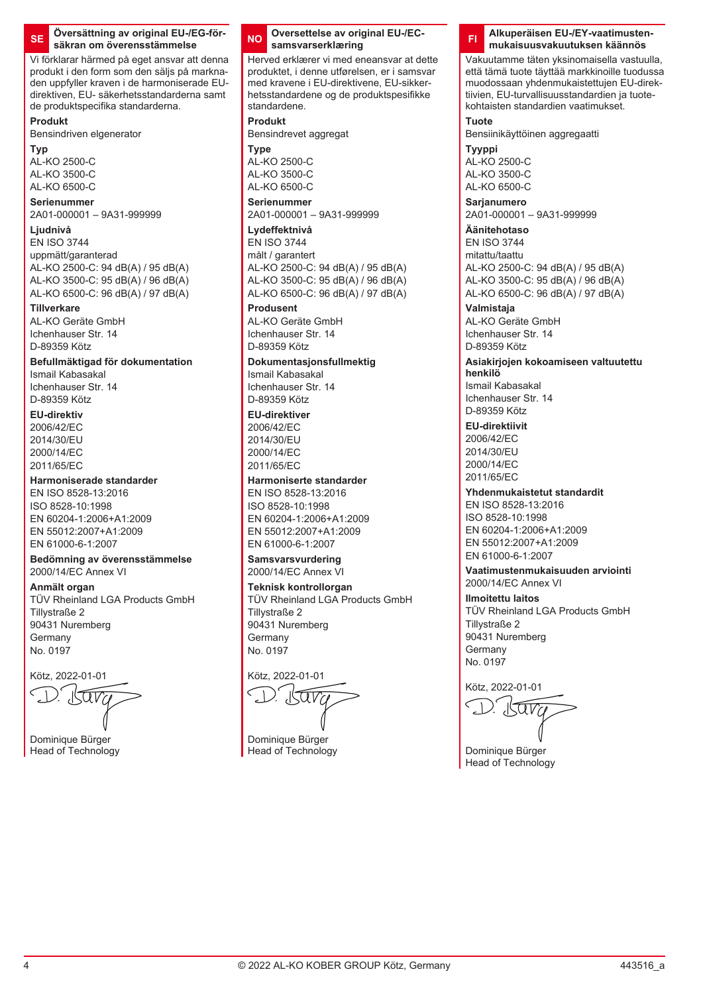#### **SE Översättning av original EU-/EG-försäkran om överensstämmelse**

Vi förklarar härmed på eget ansvar att denna produkt i den form som den säljs på marknaden uppfyller kraven i de harmoniserade EUdirektiven, EU- säkerhetsstandarderna samt de produktspecifika standarderna.

### **Produkt**

Bensindriven elgenerator

**Typ** AL-KO 2500-C AL-KO 3500-C

### AL-KO 6500-C **Serienummer**

2A01-000001 – 9A31-999999

## **Ljudnivå**

EN ISO 3744 uppmätt/garanterad AL-KO 2500-C: 94 dB(A) / 95 dB(A) AL-KO 3500-C: 95 dB(A) / 96 dB(A) AL-KO 6500-C: 96 dB(A) / 97 dB(A)

### **Tillverkare**

AL-KO Geräte GmbH Ichenhauser Str. 14 D-89359 Kötz

## **Befullmäktigad för dokumentation**

Ismail Kabasakal Ichenhauser Str. 14 D-89359 Kötz

## **EU-direktiv**

2006/42/EC 2014/30/EU 2000/14/EC 2011/65/EC

## **Harmoniserade standarder**

EN ISO 8528-13:2016 ISO 8528-10:1998 EN 60204-1:2006+A1:2009 EN 55012:2007+A1:2009 EN 61000-6-1:2007

#### **Bedömning av överensstämmelse** 2000/14/EC Annex VI

**Anmält organ** TÜV Rheinland LGA Products GmbH Tillystraße 2 90431 Nuremberg Germany

No. 0197

Kötz, 2022-01-01

Dominique Bürger Head of Technology

### **NO Oversettelse av original EU-/ECsamsvarserklæring**

Herved erklærer vi med eneansvar at dette produktet, i denne utførelsen, er i samsvar med kravene i EU-direktivene, EU-sikkerhetsstandardene og de produktspesifikke standardene.

## **Produkt**

Bensindrevet aggregat **Type**

AL-KO 2500-C AL-KO 3500-C AL-KO 6500-C

## **Serienummer**

2A01-000001 – 9A31-999999 **Lydeffektnivå**

# EN ISO 3744

målt / garantert AL-KO 2500-C: 94 dB(A) / 95 dB(A) AL-KO 3500-C: 95 dB(A) / 96 dB(A) AL-KO 6500-C: 96 dB(A) / 97 dB(A)

## **Produsent**

AL-KO Geräte GmbH Ichenhauser Str. 14 D-89359 Kötz

## **Dokumentasjonsfullmektig**

Ismail Kabasakal Ichenhauser Str. 14 D-89359 Kötz

#### **EU-direktiver** 2006/42/EC

2014/30/EU 2000/14/EC 2011/65/EC

## **Harmoniserte standarder**

EN ISO 8528-13:2016 ISO 8528-10:1998 EN 60204-1:2006+A1:2009 EN 55012:2007+A1:2009 EN 61000-6-1:2007

#### **Samsvarsvurdering** 2000/14/EC Annex VI

**Teknisk kontrollorgan** TÜV Rheinland LGA Products GmbH Tillystraße 2 90431 Nuremberg Germany No. 0197

Kötz, 2022-01-01

Dominique Bürger Head of Technology

### **FI Alkuperäisen EU-/EY-vaatimustenmukaisuusvakuutuksen käännös**

Vakuutamme täten yksinomaisella vastuulla, että tämä tuote täyttää markkinoille tuodussa muodossaan yhdenmukaistettujen EU-direktiivien, EU-turvallisuusstandardien ja tuotekohtaisten standardien vaatimukset.

## **Tuote**

Bensiinikäyttöinen aggregaatti

**Tyyppi** AL-KO 2500-C AL-KO 3500-C AL-KO 6500-C

**Sarjanumero** 2A01-000001 – 9A31-999999

## **Äänitehotaso**

EN ISO 3744 mitattu/taattu AL-KO 2500-C: 94 dB(A) / 95 dB(A) AL-KO 3500-C: 95 dB(A) / 96 dB(A) AL-KO 6500-C: 96 dB(A) / 97 dB(A)

## **Valmistaja** AL-KO Geräte GmbH

Ichenhauser Str. 14 D-89359 Kötz

#### **Asiakirjojen kokoamiseen valtuutettu henkilö**

Ismail Kabasakal Ichenhauser Str. 14 D-89359 Kötz

## **EU-direktiivit**

2006/42/EC 2014/30/EU 2000/14/EC 2011/65/EC

## **Yhdenmukaistetut standardit**

EN ISO 8528-13:2016 ISO 8528-10:1998 EN 60204-1:2006+A1:2009 EN 55012:2007+A1:2009 EN 61000-6-1:2007

#### **Vaatimustenmukaisuuden arviointi** 2000/14/EC Annex VI

**Ilmoitettu laitos** TÜV Rheinland LGA Products GmbH Tillystraße 2 90431 Nuremberg Germany No. 0197

Kötz, 2022-01-01

Dominique Bürger Head of Technology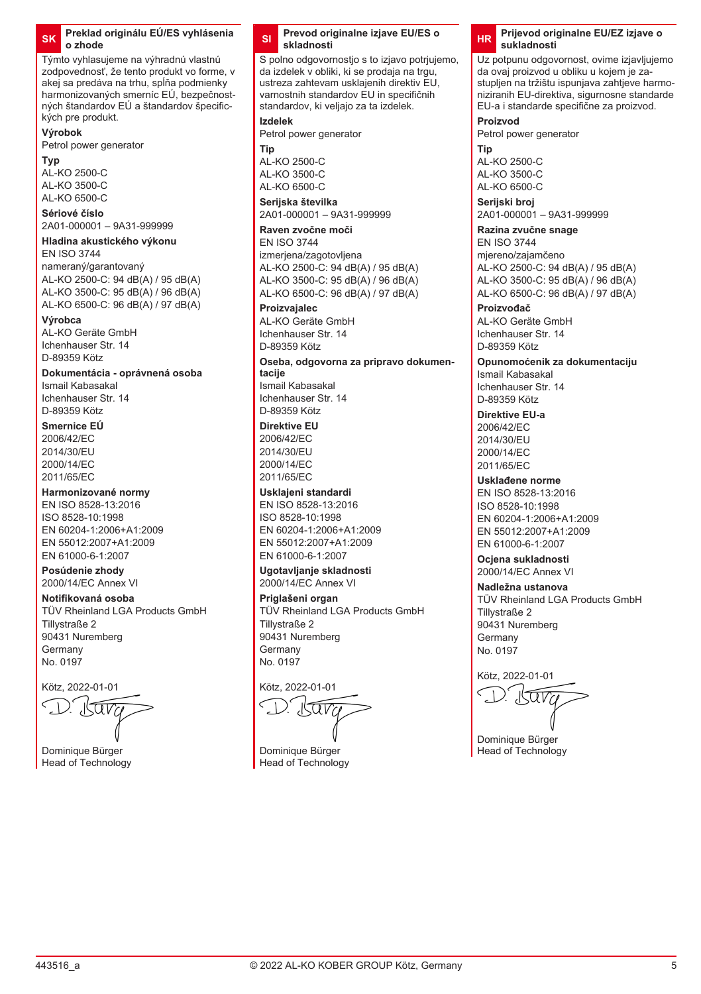### **SK Preklad originálu EÚ/ES vyhlásenia o zhode**

Týmto vyhlasujeme na výhradnú vlastnú zodpovednosť, že tento produkt vo forme, v akej sa predáva na trhu, spĺňa podmienky harmonizovaných smerníc EÚ, bezpečnostných štandardov EÚ a štandardov špecifických pre produkt.

## **Výrobok**

Petrol power generator

#### **Typ**

AL-KO 2500-C AL-KO 3500-C  $AD-KO$  6500-C

## **Sériové číslo**

2A01-000001 – 9A31-999999

## **Hladina akustického výkonu**

EN ISO 3744 nameraný/garantovaný AL-KO 2500-C: 94 dB(A) / 95 dB(A) AL-KO 3500-C: 95 dB(A) / 96 dB(A) AL-KO 6500-C: 96 dB(A) / 97 dB(A)

#### **Výrobca**

AL-KO Geräte GmbH Ichenhauser Str. 14 D-89359 Kötz

## **Dokumentácia - oprávnená osoba**

Ismail Kabasakal Ichenhauser Str. 14 D-89359 Kötz

## **Smernice EÚ**

2006/42/EC 2014/30/EU 2000/14/EC 2011/65/EC

## **Harmonizované normy**

EN ISO 8528-13:2016 ISO 8528-10:1998 EN 60204-1:2006+A1:2009 EN 55012:2007+A1:2009 EN 61000-6-1:2007

#### **Posúdenie zhody** 2000/14/EC Annex VI

## **Notifikovaná osoba**

TÜV Rheinland LGA Products GmbH Tillystraße 2 90431 Nuremberg Germany No. 0197

Kötz, 2022-01-01

Dominique Bürger Head of Technology

### **SI Prevod originalne izjave EU/ES o skladnosti**

S polno odgovornostio s to izjavo potriujemo, da izdelek v obliki, ki se prodaja na trgu, ustreza zahtevam usklajenih direktiv EU, varnostnih standardov EU in specifičnih standardov, ki veljajo za ta izdelek.

### **Izdelek**

Petrol power generator

**Tip** AL-KO 2500-C AL-KO 3500-C AL-KO 6500-C

**Serijska številka** 2A01-000001 – 9A31-999999

**Raven zvočne moči**

#### EN ISO 3744 izmerjena/zagotovljena AL-KO 2500-C: 94 dB(A) / 95 dB(A) AL-KO 3500-C: 95 dB(A) / 96 dB(A) AL-KO 6500-C: 96 dB(A) / 97 dB(A)

### **Proizvajalec**

AL-KO Geräte GmbH Ichenhauser Str. 14 D-89359 Kötz

**Oseba, odgovorna za pripravo dokumentacije** Ismail Kabasakal

Ichenhauser Str. 14 D-89359 Kötz

### **Direktive EU**

2006/42/EC 2014/30/EU 2000/14/EC 2011/65/EC

## **Usklajeni standardi**

EN ISO 8528-13:2016 ISO 8528-10:1998 EN 60204-1:2006+A1:2009 EN 55012:2007+A1:2009 EN 61000-6-1:2007

## **Ugotavljanje skladnosti**

2000/14/EC Annex VI

### **Priglašeni organ** TÜV Rheinland LGA Products GmbH Tillystraße 2 90431 Nuremberg Germany

No. 0197

## Kötz, 2022-01-01

Dominique Bürger Head of Technology

### **HR Prijevod originalne EU/EZ izjave o sukladnosti**

Uz potpunu odgovornost, ovime izjavljujemo da ovaj proizvod u obliku u kojem je zastupljen na tržištu ispunjava zahtjeve harmoniziranih EU-direktiva, sigurnosne standarde EU-a i standarde specifične za proizvod.

### **Proizvod**

Petrol power generator

**Tip** AL-KO 2500-C AL-KO 3500-C AL-KO 6500-C

**Serijski broj** 2A01-000001 – 9A31-999999

#### **Razina zvučne snage** EN ISO 3744

mjereno/zajamčeno AL-KO 2500-C: 94 dB(A) / 95 dB(A) AL-KO 3500-C: 95 dB(A) / 96 dB(A) AL-KO 6500-C: 96 dB(A) / 97 dB(A)

### **Proizvođač**

AL-KO Geräte GmbH Ichenhauser Str. 14 D-89359 Kötz

**Opunomoćenik za dokumentaciju** Ismail Kabasakal Ichenhauser Str. 14 D-89359 Kötz

#### **Direktive EU-a** 2006/42/EC 2014/30/EU 2000/14/EC 2011/65/EC

## **Usklađene norme**

EN ISO 8528-13:2016 ISO 8528-10:1998 EN 60204-1:2006+A1:2009 EN 55012:2007+A1:2009 EN 61000-6-1:2007

**Ocjena sukladnosti** 2000/14/EC Annex VI

#### **Nadležna ustanova** TÜV Rheinland LGA Products GmbH Tillystraße 2 90431 Nuremberg Germany No. 0197

Dominique Bürger Head of Technology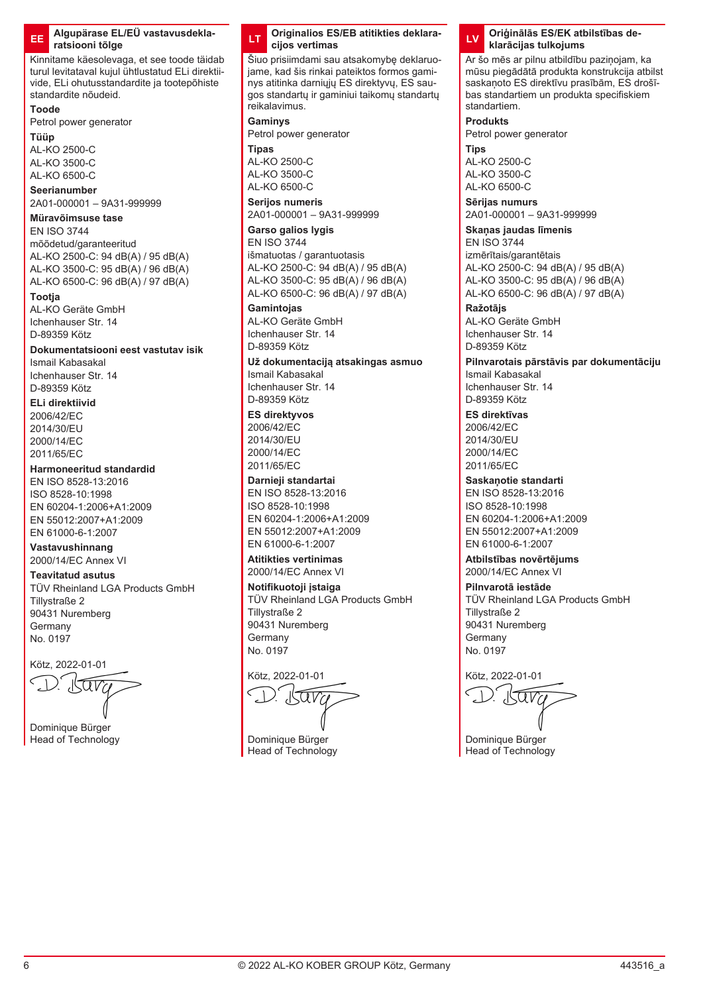### **EE Algupärase EL/EÜ vastavusdeklaratsiooni tõlge**

Kinnitame käesolevaga, et see toode täidab turul levitataval kujul ühtlustatud ELi direktiivide, ELi ohutusstandardite ja tootepõhiste standardite nõudeid.

#### **Toode**

Petrol power generator

**Tüüp**

AL-KO 2500-C AL-KO 3500-C AL-KO 6500-C

## **Seerianumber**

2A01-000001 – 9A31-999999

#### **Müravõimsuse tase** EN ISO 3744

mõõdetud/garanteeritud

AL-KO 2500-C: 94 dB(A) / 95 dB(A) AL-KO 3500-C: 95 dB(A) / 96 dB(A) AL-KO 6500-C: 96 dB(A) / 97 dB(A)

## **Tootja**

AL-KO Geräte GmbH Ichenhauser Str. 14 D-89359 Kötz

## **Dokumentatsiooni eest vastutav isik**

Ismail Kabasakal Ichenhauser Str. 14 D-89359 Kötz

## **ELi direktiivid**

2006/42/EC 2014/30/EU 2000/14/EC 2011/65/EC

## **Harmoneeritud standardid**

EN ISO 8528-13:2016 ISO 8528-10:1998 EN 60204-1:2006+A1:2009 EN 55012:2007+A1:2009 EN 61000-6-1:2007

#### **Vastavushinnang** 2000/14/EC Annex VI

**Teavitatud asutus**

TÜV Rheinland LGA Products GmbH Tillystraße 2 90431 Nuremberg Germany No. 0197

Kötz, 2022-01-01

Dominique Bürger Head of Technology

### **LT Originalios ES/EB atitikties deklaracijos vertimas**

Šiuo prisiimdami sau atsakomybę deklaruojame, kad šis rinkai pateiktos formos gaminys atitinka darniųjų ES direktyvų, ES saugos standartų ir gaminiui taikomų standartų reikalavimus.

#### **Gaminys**

Petrol power generator **Tipas**

AL-KO 2500-C AL-KO 3500-C AL-KO 6500-C

### **Serijos numeris** 2A01-000001 – 9A31-999999

**Garso galios lygis**

EN ISO 3744 išmatuotas / garantuotasis AL-KO 2500-C: 94 dB(A) / 95 dB(A) AL-KO 3500-C: 95 dB(A) / 96 dB(A) AL-KO 6500-C: 96 dB(A) / 97 dB(A)

### **Gamintojas**

AL-KO Geräte GmbH Ichenhauser Str. 14 D-89359 Kötz

#### **Už dokumentaciją atsakingas asmuo** Ismail Kabasakal Ichenhauser Str. 14 D-89359 Kötz

**ES direktyvos** 2006/42/EC 2014/30/EU 2000/14/EC

2011/65/EC **Darnieji standartai**

#### EN ISO 8528-13:2016 ISO 8528-10:1998

EN 60204-1:2006+A1:2009 EN 55012:2007+A1:2009 EN 61000-6-1:2007

#### **Atitikties vertinimas** 2000/14/EC Annex VI

**Notifikuotoji įstaiga** TÜV Rheinland LGA Products GmbH Tillystraße 2 90431 Nuremberg Germany No. 0197

Kötz, 2022-01-01

Dominique Bürger Head of Technology



Ar šo mēs ar pilnu atbildību paziņojam, ka mūsu piegādātā produkta konstrukcija atbilst saskaņoto ES direktīvu prasībām, ES drošības standartiem un produkta specifiskiem standartiem.

### **Produkts**

Petrol power generator

**Tips** AL-KO 2500-C AL-KO 3500-C AL-KO 6500-C

**Sērijas numurs** 2A01-000001 – 9A31-999999

## **Skaņas jaudas līmenis**

EN ISO 3744 izmērītais/garantētais AL-KO 2500-C: 94 dB(A) / 95 dB(A) AL-KO 3500-C: 95 dB(A) / 96 dB(A) AL-KO 6500-C: 96 dB(A) / 97 dB(A)

#### **Ražotājs** AL-KO Geräte GmbH Ichenhauser Str. 14 D-89359 Kötz

**Pilnvarotais pārstāvis par dokumentāciju** Ismail Kabasakal Ichenhauser Str. 14 D-89359 Kötz

## **ES direktīvas**

2006/42/EC 2014/30/EU 2000/14/EC 2011/65/EC

## **Saskaņotie standarti**

EN ISO 8528-13:2016 ISO 8528-10:1998 EN 60204-1:2006+A1:2009 EN 55012:2007+A1:2009 EN 61000-6-1:2007

#### **Atbilstības novērtējums** 2000/14/EC Annex VI

**Pilnvarotā iestāde** TÜV Rheinland LGA Products GmbH Tillystraße 2 90431 Nuremberg **Germany** No. 0197

ara

Dominique Bürger Head of Technology